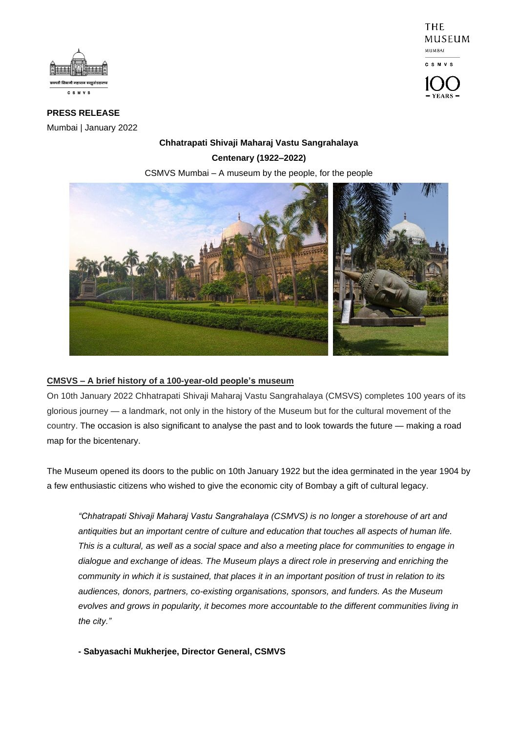



**PRESS RELEASE** Mumbai | January 2022

# **Chhatrapati Shivaji Maharaj Vastu Sangrahalaya Centenary (1922–2022)**

CSMVS Mumbai – A museum by the people, for the people



## **CMSVS – A brief history of a 100-year-old people's museum**

On 10th January 2022 Chhatrapati Shivaji Maharaj Vastu Sangrahalaya (CMSVS) completes 100 years of its glorious journey — a landmark, not only in the history of the Museum but for the cultural movement of the country. The occasion is also significant to analyse the past and to look towards the future — making a road map for the bicentenary.

The Museum opened its doors to the public on 10th January 1922 but the idea germinated in the year 1904 by a few enthusiastic citizens who wished to give the economic city of Bombay a gift of cultural legacy.

*"Chhatrapati Shivaji Maharaj Vastu Sangrahalaya (CSMVS) is no longer a storehouse of art and antiquities but an important centre of culture and education that touches all aspects of human life. This is a cultural, as well as a social space and also a meeting place for communities to engage in dialogue and exchange of ideas. The Museum plays a direct role in preserving and enriching the community in which it is sustained, that places it in an important position of trust in relation to its audiences, donors, partners, co-existing organisations, sponsors, and funders. As the Museum evolves and grows in popularity, it becomes more accountable to the different communities living in the city."*

**- Sabyasachi Mukherjee, Director General, CSMVS**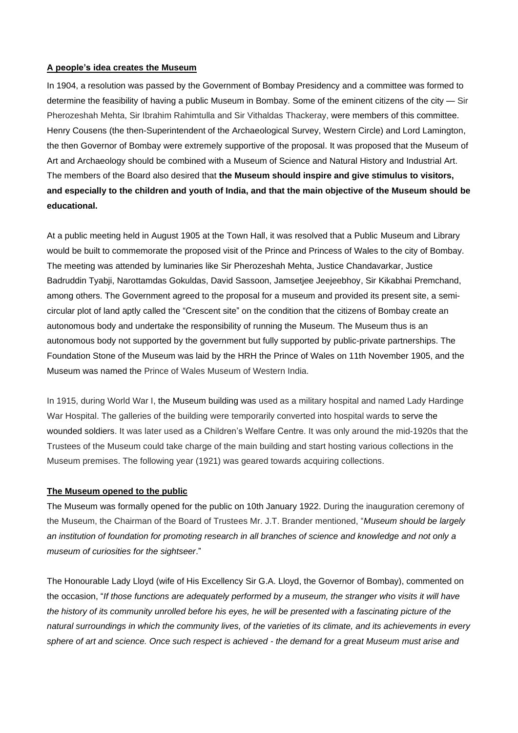#### **A people's idea creates the Museum**

In 1904, a resolution was passed by the Government of Bombay Presidency and a committee was formed to determine the feasibility of having a public Museum in Bombay. Some of the eminent citizens of the city — Sir Pherozeshah Mehta, Sir Ibrahim Rahimtulla and Sir Vithaldas Thackeray, were members of this committee. Henry Cousens (the then-Superintendent of the Archaeological Survey, Western Circle) and Lord Lamington, the then Governor of Bombay were extremely supportive of the proposal. It was proposed that the Museum of Art and Archaeology should be combined with a Museum of Science and Natural History and Industrial Art. The members of the Board also desired that **the Museum should inspire and give stimulus to visitors, and especially to the children and youth of India, and that the main objective of the Museum should be educational.**

At a public meeting held in August 1905 at the Town Hall, it was resolved that a Public Museum and Library would be built to commemorate the proposed visit of the Prince and Princess of Wales to the city of Bombay. The meeting was attended by luminaries like Sir Pherozeshah Mehta, Justice Chandavarkar, Justice Badruddin Tyabji, Narottamdas Gokuldas, David Sassoon, Jamsetjee Jeejeebhoy, Sir Kikabhai Premchand, among others. The Government agreed to the proposal for a museum and provided its present site, a semicircular plot of land aptly called the "Crescent site" on the condition that the citizens of Bombay create an autonomous body and undertake the responsibility of running the Museum. The Museum thus is an autonomous body not supported by the government but fully supported by public-private partnerships. The Foundation Stone of the Museum was laid by the HRH the Prince of Wales on 11th November 1905, and the Museum was named the Prince of Wales Museum of Western India.

In 1915, during World War I, the Museum building was used as a military hospital and named Lady Hardinge War Hospital. The galleries of the building were temporarily converted into hospital wards to serve the wounded soldiers. It was later used as a Children's Welfare Centre. It was only around the mid-1920s that the Trustees of the Museum could take charge of the main building and start hosting various collections in the Museum premises. The following year (1921) was geared towards acquiring collections.

## **The Museum opened to the public**

The Museum was formally opened for the public on 10th January 1922. During the inauguration ceremony of the Museum, the Chairman of the Board of Trustees Mr. J.T. Brander mentioned, "*Museum should be largely an institution of foundation for promoting research in all branches of science and knowledge and not only a museum of curiosities for the sightseer*."

The Honourable Lady Lloyd (wife of His Excellency Sir G.A. Lloyd, the Governor of Bombay), commented on the occasion, "*If those functions are adequately performed by a museum, the stranger who visits it will have the history of its community unrolled before his eyes, he will be presented with a fascinating picture of the natural surroundings in which the community lives, of the varieties of its climate, and its achievements in every sphere of art and science. Once such respect is achieved - the demand for a great Museum must arise and*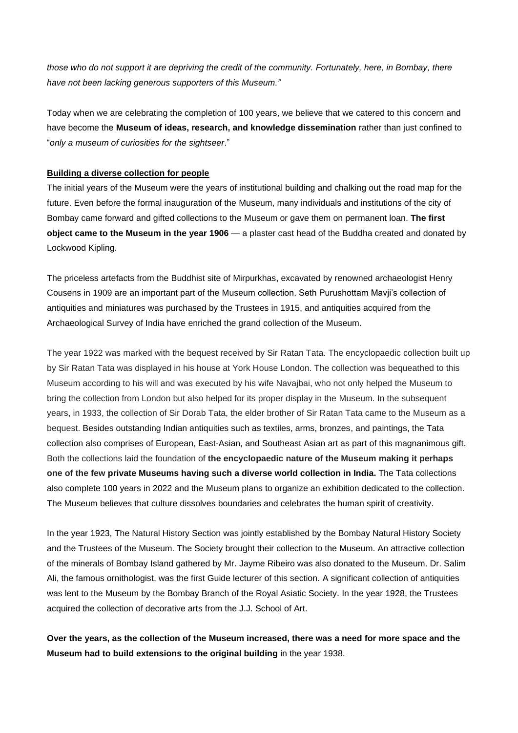*those who do not support it are depriving the credit of the community. Fortunately, here, in Bombay, there have not been lacking generous supporters of this Museum."*

Today when we are celebrating the completion of 100 years, we believe that we catered to this concern and have become the **Museum of ideas, research, and knowledge dissemination** rather than just confined to "*only a museum of curiosities for the sightseer*."

## **Building a diverse collection for people**

The initial years of the Museum were the years of institutional building and chalking out the road map for the future. Even before the formal inauguration of the Museum, many individuals and institutions of the city of Bombay came forward and gifted collections to the Museum or gave them on permanent loan. **The first object came to the Museum in the year 1906** — a plaster cast head of the Buddha created and donated by Lockwood Kipling.

The priceless artefacts from the Buddhist site of Mirpurkhas, excavated by renowned archaeologist Henry Cousens in 1909 are an important part of the Museum collection. Seth Purushottam Mavji's collection of antiquities and miniatures was purchased by the Trustees in 1915, and antiquities acquired from the Archaeological Survey of India have enriched the grand collection of the Museum.

The year 1922 was marked with the bequest received by Sir Ratan Tata. The encyclopaedic collection built up by Sir Ratan Tata was displayed in his house at York House London. The collection was bequeathed to this Museum according to his will and was executed by his wife Navajbai, who not only helped the Museum to bring the collection from London but also helped for its proper display in the Museum. In the subsequent years, in 1933, the collection of Sir Dorab Tata, the elder brother of Sir Ratan Tata came to the Museum as a bequest. Besides outstanding Indian antiquities such as textiles, arms, bronzes, and paintings, the Tata collection also comprises of European, East-Asian, and Southeast Asian art as part of this magnanimous gift. Both the collections laid the foundation of **the encyclopaedic nature of the Museum making it perhaps one of the few private Museums having such a diverse world collection in India.** The Tata collections also complete 100 years in 2022 and the Museum plans to organize an exhibition dedicated to the collection. The Museum believes that culture dissolves boundaries and celebrates the human spirit of creativity.

In the year 1923, The Natural History Section was jointly established by the Bombay Natural History Society and the Trustees of the Museum. The Society brought their collection to the Museum. An attractive collection of the minerals of Bombay Island gathered by Mr. Jayme Ribeiro was also donated to the Museum. Dr. Salim Ali, the famous ornithologist, was the first Guide lecturer of this section. A significant collection of antiquities was lent to the Museum by the Bombay Branch of the Royal Asiatic Society. In the year 1928, the Trustees acquired the collection of decorative arts from the J.J. School of Art.

**Over the years, as the collection of the Museum increased, there was a need for more space and the Museum had to build extensions to the original building** in the year 1938.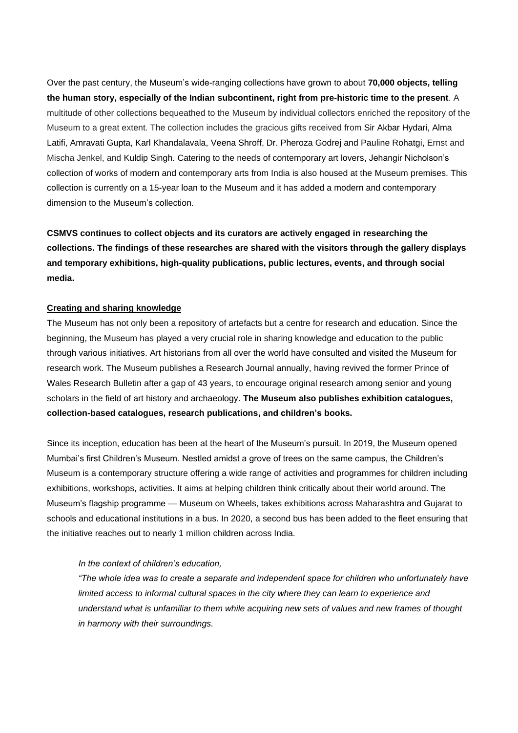Over the past century, the Museum's wide-ranging collections have grown to about **70,000 objects, telling the human story, especially of the Indian subcontinent, right from pre-historic time to the present**. A multitude of other collections bequeathed to the Museum by individual collectors enriched the repository of the Museum to a great extent. The collection includes the gracious gifts received from Sir Akbar Hydari, Alma Latifi, Amravati Gupta, Karl Khandalavala, Veena Shroff, Dr. Pheroza Godrej and Pauline Rohatgi, Ernst and Mischa Jenkel, and Kuldip Singh. Catering to the needs of contemporary art lovers, Jehangir Nicholson's collection of works of modern and contemporary arts from India is also housed at the Museum premises. This collection is currently on a 15-year loan to the Museum and it has added a modern and contemporary dimension to the Museum's collection.

**CSMVS continues to collect objects and its curators are actively engaged in researching the collections. The findings of these researches are shared with the visitors through the gallery displays and temporary exhibitions, high-quality publications, public lectures, events, and through social media.** 

#### **Creating and sharing knowledge**

The Museum has not only been a repository of artefacts but a centre for research and education. Since the beginning, the Museum has played a very crucial role in sharing knowledge and education to the public through various initiatives. Art historians from all over the world have consulted and visited the Museum for research work. The Museum publishes a Research Journal annually, having revived the former Prince of Wales Research Bulletin after a gap of 43 years, to encourage original research among senior and young scholars in the field of art history and archaeology. **The Museum also publishes exhibition catalogues, collection-based catalogues, research publications, and children's books.**

Since its inception, education has been at the heart of the Museum's pursuit. In 2019, the Museum opened Mumbai's first Children's Museum. Nestled amidst a grove of trees on the same campus, the Children's Museum is a contemporary structure offering a wide range of activities and programmes for children including exhibitions, workshops, activities. It aims at helping children think critically about their world around. The Museum's flagship programme — Museum on Wheels, takes exhibitions across Maharashtra and Gujarat to schools and educational institutions in a bus. In 2020, a second bus has been added to the fleet ensuring that the initiative reaches out to nearly 1 million children across India.

#### *In the context of children's education,*

*"The whole idea was to create a separate and independent space for children who unfortunately have limited access to informal cultural spaces in the city where they can learn to experience and understand what is unfamiliar to them while acquiring new sets of values and new frames of thought in harmony with their surroundings.*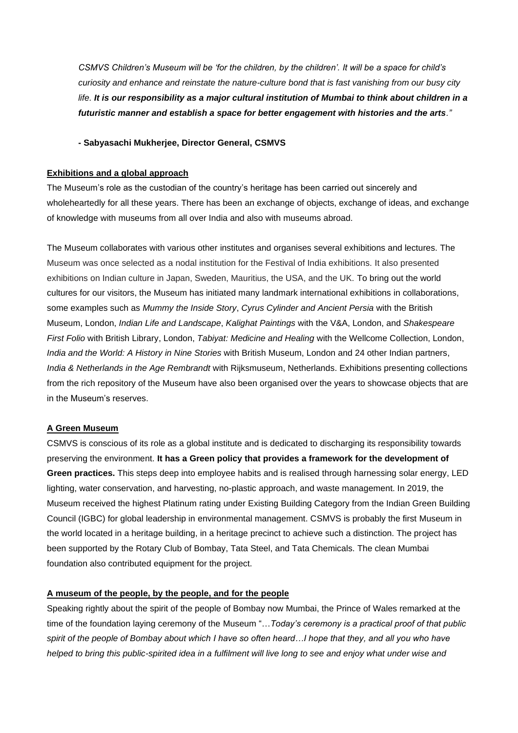*CSMVS Children's Museum will be 'for the children, by the children'. It will be a space for child's curiosity and enhance and reinstate the nature-culture bond that is fast vanishing from our busy city life. It is our responsibility as a major cultural institution of Mumbai to think about children in a futuristic manner and establish a space for better engagement with histories and the arts."*

#### **- Sabyasachi Mukherjee, Director General, CSMVS**

### **Exhibitions and a global approach**

The Museum's role as the custodian of the country's heritage has been carried out sincerely and wholeheartedly for all these years. There has been an exchange of objects, exchange of ideas, and exchange of knowledge with museums from all over India and also with museums abroad.

The Museum collaborates with various other institutes and organises several exhibitions and lectures. The Museum was once selected as a nodal institution for the Festival of India exhibitions. It also presented exhibitions on Indian culture in Japan, Sweden, Mauritius, the USA, and the UK. To bring out the world cultures for our visitors, the Museum has initiated many landmark international exhibitions in collaborations, some examples such as *Mummy the Inside Story*, *Cyrus Cylinder and Ancient Persia* with the British Museum, London, *Indian Life and Landscape*, *Kalighat Paintings* with the V&A, London, and *Shakespeare First Folio* with British Library, London, *Tabiyat: Medicine and Healing* with the Wellcome Collection, London, *India and the World: A History in Nine Stories* with British Museum, London and 24 other Indian partners, *India & Netherlands in the Age Rembrandt* with Rijksmuseum, Netherlands. Exhibitions presenting collections from the rich repository of the Museum have also been organised over the years to showcase objects that are in the Museum's reserves.

## **A Green Museum**

CSMVS is conscious of its role as a global institute and is dedicated to discharging its responsibility towards preserving the environment. **It has a Green policy that provides a framework for the development of Green practices.** This steps deep into employee habits and is realised through harnessing solar energy, LED lighting, water conservation, and harvesting, no-plastic approach, and waste management. In 2019, the Museum received the highest Platinum rating under Existing Building Category from the Indian Green Building Council (IGBC) for global leadership in environmental management. CSMVS is probably the first Museum in the world located in a heritage building, in a heritage precinct to achieve such a distinction. The project has been supported by the Rotary Club of Bombay, Tata Steel, and Tata Chemicals. The clean Mumbai foundation also contributed equipment for the project.

## **A museum of the people, by the people, and for the people**

Speaking rightly about the spirit of the people of Bombay now Mumbai, the Prince of Wales remarked at the time of the foundation laying ceremony of the Museum "…*Today's ceremony is a practical proof of that public spirit of the people of Bombay about which I have so often heard…I hope that they, and all you who have helped to bring this public-spirited idea in a fulfilment will live long to see and enjoy what under wise and*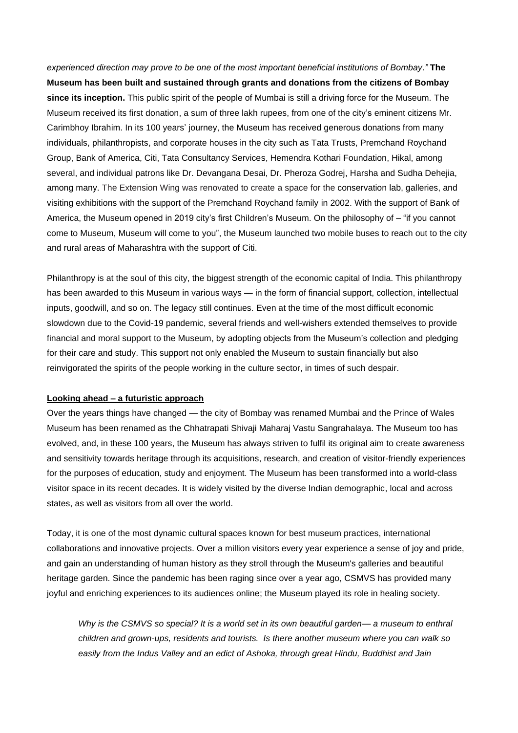*experienced direction may prove to be one of the most important beneficial institutions of Bombay*.*"* **The Museum has been built and sustained through grants and donations from the citizens of Bombay since its inception.** This public spirit of the people of Mumbai is still a driving force for the Museum. The Museum received its first donation, a sum of three lakh rupees, from one of the city's eminent citizens Mr. Carimbhoy Ibrahim. In its 100 years' journey, the Museum has received generous donations from many individuals, philanthropists, and corporate houses in the city such as Tata Trusts, Premchand Roychand Group, Bank of America, Citi, Tata Consultancy Services, Hemendra Kothari Foundation, Hikal, among several, and individual patrons like Dr. Devangana Desai, Dr. Pheroza Godrej, Harsha and Sudha Dehejia, among many. The Extension Wing was renovated to create a space for the conservation lab, galleries, and visiting exhibitions with the support of the Premchand Roychand family in 2002. With the support of Bank of America, the Museum opened in 2019 city's first Children's Museum. On the philosophy of – "if you cannot come to Museum, Museum will come to you", the Museum launched two mobile buses to reach out to the city and rural areas of Maharashtra with the support of Citi.

Philanthropy is at the soul of this city, the biggest strength of the economic capital of India. This philanthropy has been awarded to this Museum in various ways — in the form of financial support, collection, intellectual inputs, goodwill, and so on. The legacy still continues. Even at the time of the most difficult economic slowdown due to the Covid-19 pandemic, several friends and well-wishers extended themselves to provide financial and moral support to the Museum, by adopting objects from the Museum's collection and pledging for their care and study. This support not only enabled the Museum to sustain financially but also reinvigorated the spirits of the people working in the culture sector, in times of such despair.

#### **Looking ahead – a futuristic approach**

Over the years things have changed — the city of Bombay was renamed Mumbai and the Prince of Wales Museum has been renamed as the Chhatrapati Shivaji Maharaj Vastu Sangrahalaya. The Museum too has evolved, and, in these 100 years, the Museum has always striven to fulfil its original aim to create awareness and sensitivity towards heritage through its acquisitions, research, and creation of visitor-friendly experiences for the purposes of education, study and enjoyment. The Museum has been transformed into a world-class visitor space in its recent decades. It is widely visited by the diverse Indian demographic, local and across states, as well as visitors from all over the world.

Today, it is one of the most dynamic cultural spaces known for best museum practices, international collaborations and innovative projects. Over a million visitors every year experience a sense of joy and pride, and gain an understanding of human history as they stroll through the Museum's galleries and beautiful heritage garden. Since the pandemic has been raging since over a year ago, CSMVS has provided many joyful and enriching experiences to its audiences online; the Museum played its role in healing society.

*Why is the CSMVS so special? It is a world set in its own beautiful garden— a museum to enthral children and grown-ups, residents and tourists. Is there another museum where you can walk so easily from the Indus Valley and an edict of Ashoka, through great Hindu, Buddhist and Jain*